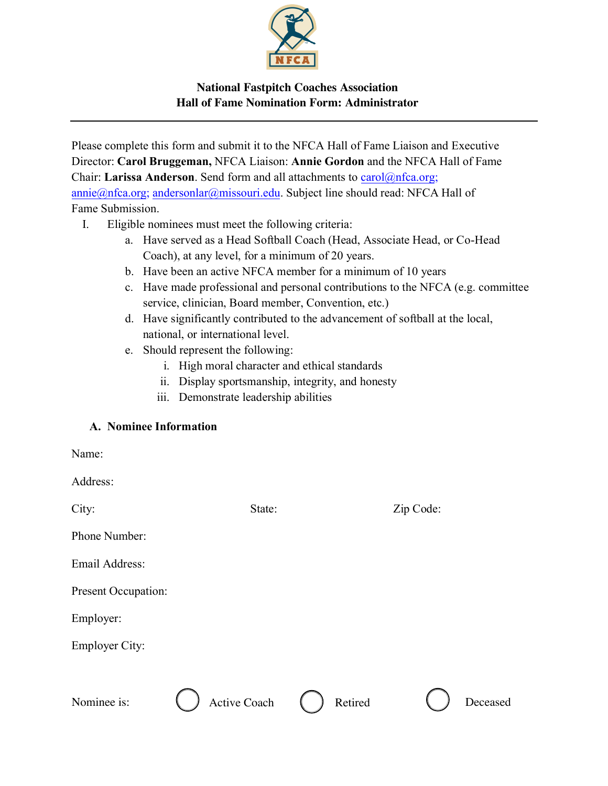

# **National Fastpitch Coaches Association Hall of Fame Nomination Form: Administrator**

Please complete this form and submit it to the NFCA Hall of Fame Liaison and Executive Director: **Carol Bruggeman,** NFCA Liaison: **Annie Gordon** and the NFCA Hall of Fame Chair: **Larissa Anderson**. Send form and all attachments to [carol@nfca.org](mailto:carol@nfca.org); [annie@nfca.org;](mailto:LNAVAS@mailbox.sc.edu) andersonlar@missouri.edu. Subject line should read: NFCA Hall of Fame Submission.

- I. Eligible nominees must meet the following criteria:
	- a. Have served as a Head Softball Coach (Head, Associate Head, or Co-Head Coach), at any level, for a minimum of 20 years.
	- b. Have been an active NFCA member for a minimum of 10 years
	- c. Have made professional and personal contributions to the NFCA (e.g. committee service, clinician, Board member, Convention, etc.)
	- d. Have significantly contributed to the advancement of softball at the local, national, or international level.
	- e. Should represent the following:
		- i. High moral character and ethical standards
		- ii. Display sportsmanship, integrity, and honesty
		- iii. Demonstrate leadership abilities

#### A. Nominee Information

| Name:                 |              |         |           |          |
|-----------------------|--------------|---------|-----------|----------|
| Address:              |              |         |           |          |
| City:                 | State:       |         | Zip Code: |          |
| Phone Number:         |              |         |           |          |
| Email Address:        |              |         |           |          |
| Present Occupation:   |              |         |           |          |
| Employer:             |              |         |           |          |
| <b>Employer City:</b> |              |         |           |          |
|                       |              |         |           |          |
| Nominee is:           | Active Coach | Retired |           | Deceased |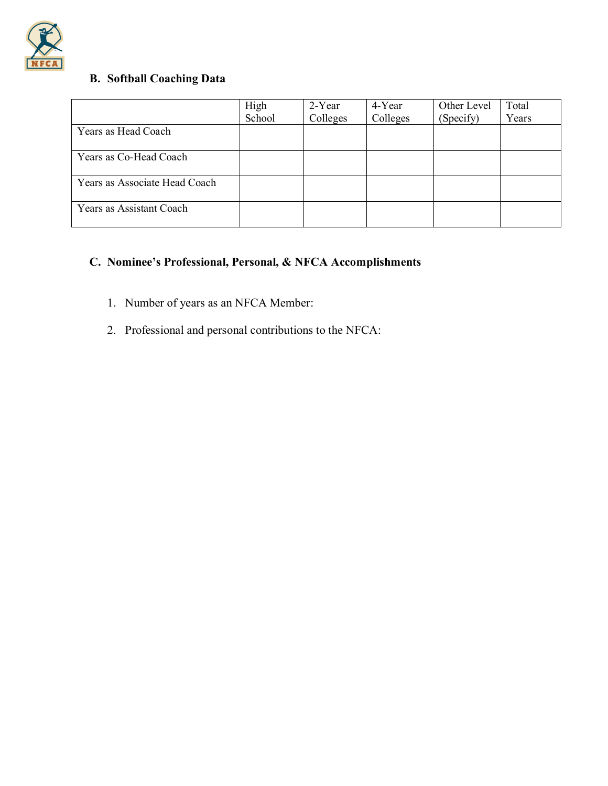

# B. Softball Coaching Data

|                               | High   | 2-Year   | 4-Year   | Other Level | Total |
|-------------------------------|--------|----------|----------|-------------|-------|
|                               | School | Colleges | Colleges | (Specify)   | Years |
| Years as Head Coach           |        |          |          |             |       |
| Years as Co-Head Coach        |        |          |          |             |       |
| Years as Associate Head Coach |        |          |          |             |       |
| Years as Assistant Coach      |        |          |          |             |       |

# C. Nominee's Professional, Personal, & NFCA Accomplishments

- 1. Number of years as an NFCA Member:
- 2. Professional and personal contributions to the NFCA: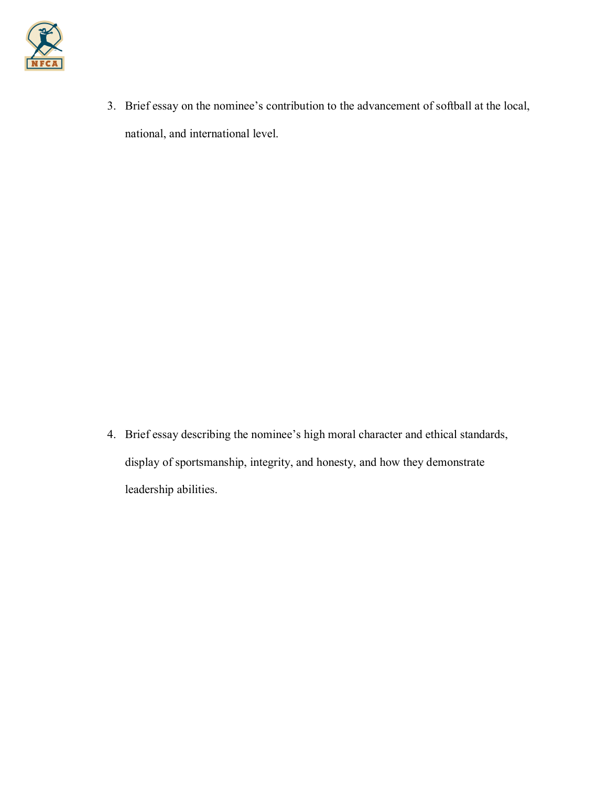

3. Brief essay on the nominee's contribution to the advancement of softball at the local, national, and international level.

4. Brief essay describing the nominee's high moral character and ethical standards, display of sportsmanship, integrity, and honesty, and how they demonstrate leadership abilities.